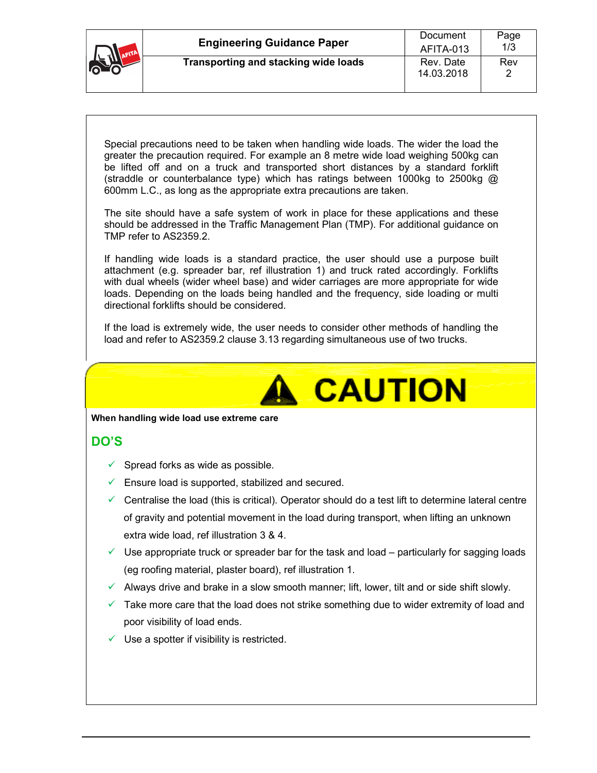| IL TA AFITA | <b>Engineering Guidance Paper</b>    | Document<br>AFITA-013 | Page<br>1/3 |
|-------------|--------------------------------------|-----------------------|-------------|
| <b>PART</b> | Transporting and stacking wide loads | Rev. Date             | Rev         |
|             |                                      | 14.03.2018            |             |

Special precautions need to be taken when handling wide loads. The wider the load the greater the precaution required. For example an 8 metre wide load weighing 500kg can be lifted off and on a truck and transported short distances by a standard forklift (straddle or counterbalance type) which has ratings between 1000kg to 2500kg  $\omega$ 600mm L.C., as long as the appropriate extra precautions are taken.

The site should have a safe system of work in place for these applications and these should be addressed in the Traffic Management Plan (TMP). For additional guidance on TMP refer to AS2359.2.

If handling wide loads is a standard practice, the user should use a purpose built attachment (e.g. spreader bar, ref illustration 1) and truck rated accordingly. Forklifts with dual wheels (wider wheel base) and wider carriages are more appropriate for wide loads. Depending on the loads being handled and the frequency, side loading or multi directional forklifts should be considered.

If the load is extremely wide, the user needs to consider other methods of handling the load and refer to AS2359.2 clause 3.13 regarding simultaneous use of two trucks.



**When handling wide load use extreme care** 

### **DO'S**

- $\checkmark$  Spread forks as wide as possible.
- $\checkmark$  Ensure load is supported, stabilized and secured.
- $\checkmark$  Centralise the load (this is critical). Operator should do a test lift to determine lateral centre of gravity and potential movement in the load during transport, when lifting an unknown extra wide load, ref illustration 3 & 4.
- $\checkmark$  Use appropriate truck or spreader bar for the task and load particularly for sagging loads (eg roofing material, plaster board), ref illustration 1.
- $\checkmark$  Always drive and brake in a slow smooth manner; lift, lower, tilt and or side shift slowly.
- $\checkmark$  Take more care that the load does not strike something due to wider extremity of load and poor visibility of load ends.
- $\checkmark$  Use a spotter if visibility is restricted.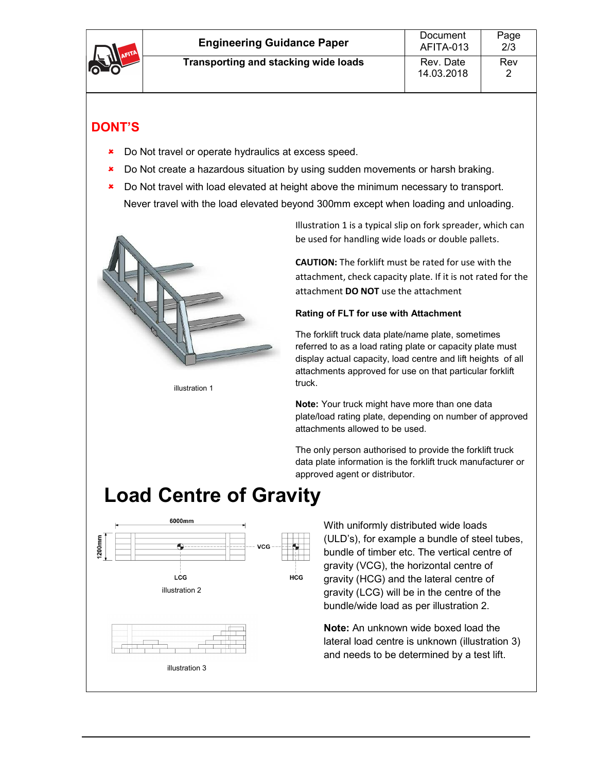| <b>PETILER</b> | <b>Engineering Guidance Paper</b>    | Document<br>AFITA-013   | Page<br>2/3 |
|----------------|--------------------------------------|-------------------------|-------------|
|                | Transporting and stacking wide loads | Rev. Date<br>14.03.2018 | Rev         |

### **DONT'S**

- **\*** Do Not travel or operate hydraulics at excess speed.
- **\*** Do Not create a hazardous situation by using sudden movements or harsh braking.
- **\*** Do Not travel with load elevated at height above the minimum necessary to transport. Never travel with the load elevated beyond 300mm except when loading and unloading.



illustration 1

Illustration 1 is a typical slip on fork spreader, which can be used for handling wide loads or double pallets.

**CAUTION:** The forklift must be rated for use with the attachment, check capacity plate. If it is not rated for the attachment **DO NOT** use the attachment

#### **Rating of FLT for use with Attachment**

The forklift truck data plate/name plate, sometimes referred to as a load rating plate or capacity plate must display actual capacity, load centre and lift heights of all attachments approved for use on that particular forklift truck.

**Note:** Your truck might have more than one data plate/load rating plate, depending on number of approved attachments allowed to be used.

The only person authorised to provide the forklift truck data plate information is the forklift truck manufacturer or approved agent or distributor.

# **Load Centre of Gravity**



With uniformly distributed wide loads (ULD's), for example a bundle of steel tubes, bundle of timber etc. The vertical centre of gravity (VCG), the horizontal centre of gravity (HCG) and the lateral centre of gravity (LCG) will be in the centre of the bundle/wide load as per illustration 2.

**Note:** An unknown wide boxed load the lateral load centre is unknown (illustration 3) and needs to be determined by a test lift.